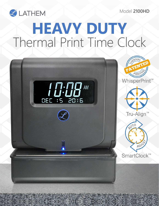Model **2100HD**



## **HEAVY DUTY** Thermal Print Time Clock